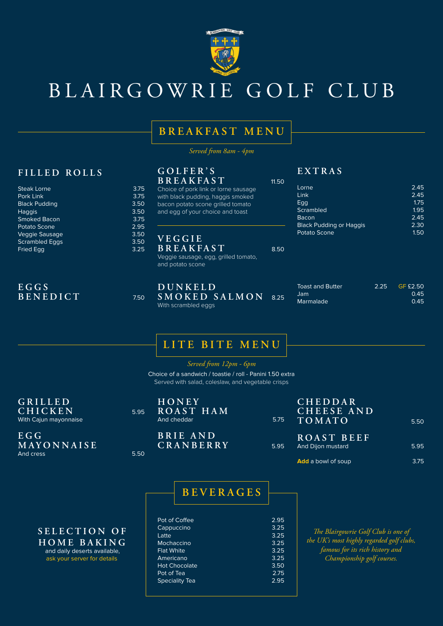*Served from 8am - 4pm*

# **BREAKFAST MENU**

| FILLED ROLLS<br><b>Steak Lorne</b>                          | 3.75                 | GOLFER'S<br><b>BREAKFAST</b><br>Choice of pork link or lorne sausage                   | 11.50 | EXTRAS<br>Lorne                             |      | 2.45                            |
|-------------------------------------------------------------|----------------------|----------------------------------------------------------------------------------------|-------|---------------------------------------------|------|---------------------------------|
| Pork Link                                                   | 3.75                 | with black pudding, haggis smoked                                                      |       | Link                                        |      | 2.45                            |
| <b>Black Pudding</b>                                        | 3.50                 | bacon potato scone grilled tomato                                                      |       | Egg                                         |      | 1.75                            |
| <b>Haggis</b>                                               | 3.50                 | and egg of your choice and toast                                                       |       | <b>Scrambled</b>                            |      | 1.95                            |
| <b>Smoked Bacon</b>                                         | 3.75                 |                                                                                        |       | <b>Bacon</b>                                |      | 2.45                            |
| Potato Scone                                                | 2.95                 |                                                                                        |       | <b>Black Pudding or Haggis</b>              |      | 2.30                            |
| Veggie Sausage<br><b>Scrambled Eggs</b><br><b>Fried Egg</b> | 3.50<br>3.50<br>3.25 | VEGGIE<br><b>BREAKFAST</b><br>Veggie sausage, egg, grilled tomato,<br>and potato scone | 8.50  | <b>Potato Scone</b>                         |      | 1.50                            |
| EGGS<br>BENEDICT                                            | 7.50                 | DUNKELD<br>SMOKED SALMON<br>With scrambled eggs                                        | 8.25  | <b>Toast and Butter</b><br>Jam<br>Marmalade | 2.25 | <b>GF £2.50</b><br>0.45<br>0.45 |

**E G G M A Y O N N A I S E**  And cress 5.50

**H O N E Y ROAST HAM** And cheddar 5.75



# BLAIRGOWRIE GOLF CLUB

| Pot of Coffee         | 2.95 |
|-----------------------|------|
| Cappuccino            | 3.25 |
| Latte                 | 3.25 |
| <b>Mochaccino</b>     | 3.25 |
| <b>Flat White</b>     | 3.25 |
| Americano             | 3.25 |
| <b>Hot Chocolate</b>  | 3.50 |
| Pot of Tea            | 2.75 |
| <b>Speciality Tea</b> | 2.95 |
|                       |      |

**BEVERAGES**

*Served from 12pm - 6pm*

# **LITE BITE MENU**

**G R I L L E D CHICKEN** 5.95 With Cajun mayonnaise

Choice of a sandwich / toastie / roll - Panini 1.50 extra Served with salad, coleslaw, and vegetable crisps

**B R I E A N D CRANBERRY** 5.95

#### **C H E D D A R C H E E S E A N D TOMATO** 5.50

| ROAST BEEF        |      |
|-------------------|------|
| And Dijon mustard | 5.95 |

**Add** a bowl of soup 3.75

## **S E L E C T I O N O F HOME BAKING**

 and daily deserts available, ask your server for details

*The Blairgowrie Golf Club is one of the UK's most highly regarded golf clubs, famous for its rich history and Championship golf courses.*